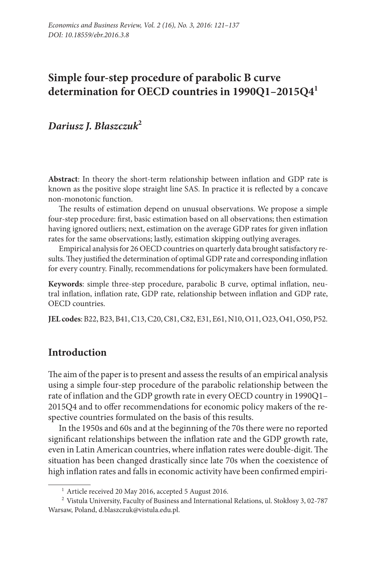# **Simple four-step procedure of parabolic B curve determination for OECD countries in 1990Q1–2015Q41**

*Dariusz J. Błaszczuk***<sup>2</sup>**

**Abstract**: In theory the short-term relationship between inflation and GDP rate is known as the positive slope straight line SAS. In practice it is reflected by a concave non-monotonic function.

The results of estimation depend on unusual observations. We propose a simple four-step procedure: first, basic estimation based on all observations; then estimation having ignored outliers; next, estimation on the average GDP rates for given inflation rates for the same observations; lastly, estimation skipping outlying averages.

Empirical analysis for 26 OECD countries on quarterly data brought satisfactory results. They justified the determination of optimal GDP rate and corresponding inflation for every country. Finally, recommendations for policymakers have been formulated.

**Keywords**: simple three-step procedure, parabolic B curve, optimal inflation, neutral inflation, inflation rate, GDP rate, relationship between inflation and GDP rate, OECD countries.

**JEL codes**: B22, B23, B41, C13, C20, C81, C82, E31, E61, N10, O11, O23, O41, O50, P52.

### **Introduction**

The aim of the paper is to present and assess the results of an empirical analysis using a simple four-step procedure of the parabolic relationship between the rate of inflation and the GDP growth rate in every OECD country in 1990Q1– 2015Q4 and to offer recommendations for economic policy makers of the respective countries formulated on the basis of this results.

In the 1950s and 60s and at the beginning of the 70s there were no reported significant relationships between the inflation rate and the GDP growth rate, even in Latin American countries, where inflation rates were double-digit. The situation has been changed drastically since late 70s when the coexistence of high inflation rates and falls in economic activity have been confirmed empiri-

<sup>&</sup>lt;sup>1</sup> Article received 20 May 2016, accepted 5 August 2016.

<sup>2</sup> Vistula University, Faculty of Business and International Relations, ul. Stokłosy 3, 02-787 Warsaw, Poland, [d.blaszczuk@vistula.edu.pl](mailto:d.blaszczuk@vistula.edu.pl).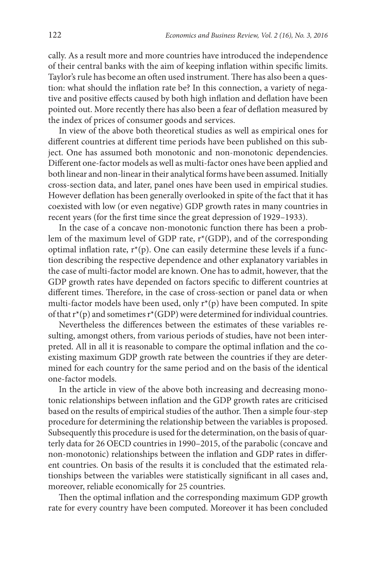cally. As a result more and more countries have introduced the independence of their central banks with the aim of keeping inflation within specific limits. Taylor's rule has become an often used instrument. There has also been a question: what should the inflation rate be? In this connection, a variety of negative and positive effects caused by both high inflation and deflation have been pointed out. More recently there has also been a fear of deflation measured by the index of prices of consumer goods and services.

In view of the above both theoretical studies as well as empirical ones for different countries at different time periods have been published on this subject. One has assumed both monotonic and non-monotonic dependencies. Different one-factor models as well as multi-factor ones have been applied and both linear and non-linear in their analytical forms have been assumed. Initially cross-section data, and later, panel ones have been used in empirical studies. However deflation has been generally overlooked in spite of the fact that it has coexisted with low (or even negative) GDP growth rates in many countries in recent years (for the first time since the great depression of 1929–1933).

In the case of a concave non-monotonic function there has been a problem of the maximum level of GDP rate, r\*(GDP), and of the corresponding optimal inflation rate,  $r^*(p)$ . One can easily determine these levels if a function describing the respective dependence and other explanatory variables in the case of multi-factor model are known. One has to admit, however, that the GDP growth rates have depended on factors specific to different countries at different times. Therefore, in the case of cross-section or panel data or when multi-factor models have been used, only r\*(p) have been computed. In spite of that  $r^*(p)$  and sometimes  $r^*(GDP)$  were determined for individual countries.

Nevertheless the differences between the estimates of these variables resulting, amongst others, from various periods of studies, have not been interpreted. All in all it is reasonable to compare the optimal inflation and the coexisting maximum GDP growth rate between the countries if they are determined for each country for the same period and on the basis of the identical one-factor models.

In the article in view of the above both increasing and decreasing monotonic relationships between inflation and the GDP growth rates are criticised based on the results of empirical studies of the author. Then a simple four-step procedure for determining the relationship between the variables is proposed. Subsequently this procedure is used for the determination, on the basis of quarterly data for 26 OECD countries in 1990–2015, of the parabolic (concave and non-monotonic) relationships between the inflation and GDP rates in different countries. On basis of the results it is concluded that the estimated relationships between the variables were statistically significant in all cases and, moreover, reliable economically for 25 countries.

Then the optimal inflation and the corresponding maximum GDP growth rate for every country have been computed. Moreover it has been concluded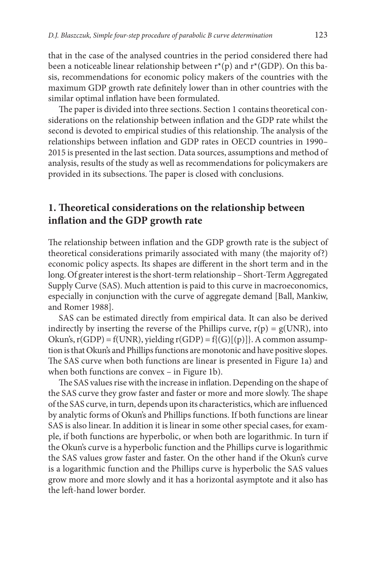that in the case of the analysed countries in the period considered there had been a noticeable linear relationship between  $r^*(p)$  and  $r^*(GDP)$ . On this basis, recommendations for economic policy makers of the countries with the maximum GDP growth rate definitely lower than in other countries with the similar optimal inflation have been formulated.

The paper is divided into three sections. Section 1 contains theoretical considerations on the relationship between inflation and the GDP rate whilst the second is devoted to empirical studies of this relationship. The analysis of the relationships between inflation and GDP rates in OECD countries in 1990– 2015 is presented in the last section. Data sources, assumptions and method of analysis, results of the study as well as recommendations for policymakers are provided in its subsections. The paper is closed with conclusions.

## **1. Theoretical considerations on the relationship between inflation and the GDP growth rate**

The relationship between inflation and the GDP growth rate is the subject of theoretical considerations primarily associated with many (the majority of?) economic policy aspects. Its shapes are different in the short term and in the long. Of greater interest is the short-term relationship – Short-Term Aggregated Supply Curve (SAS). Much attention is paid to this curve in macroeconomics, especially in conjunction with the curve of aggregate demand [Ball, Mankiw, and Romer 1988].

SAS can be estimated directly from empirical data. It can also be derived indirectly by inserting the reverse of the Phillips curve,  $r(p) = g(UNR)$ , into Okun's,  $r(GDP) = f(UNR)$ , yielding  $r(GDP) = f\{(G) | (p) \}$ . A common assumption is that Okun's and Phillips functions are monotonic and have positive slopes. The SAS curve when both functions are linear is presented in Figure 1a) and when both functions are convex – in Figure 1b).

The SAS values rise with the increase in inflation. Depending on the shape of the SAS curve they grow faster and faster or more and more slowly. The shape of the SAS curve, in turn, depends upon its characteristics, which are influenced by analytic forms of Okun's and Phillips functions. If both functions are linear SAS is also linear. In addition it is linear in some other special cases, for example, if both functions are hyperbolic, or when both are logarithmic. In turn if the Okun's curve is a hyperbolic function and the Phillips curve is logarithmic the SAS values grow faster and faster. On the other hand if the Okun's curve is a logarithmic function and the Phillips curve is hyperbolic the SAS values grow more and more slowly and it has a horizontal asymptote and it also has the left-hand lower border.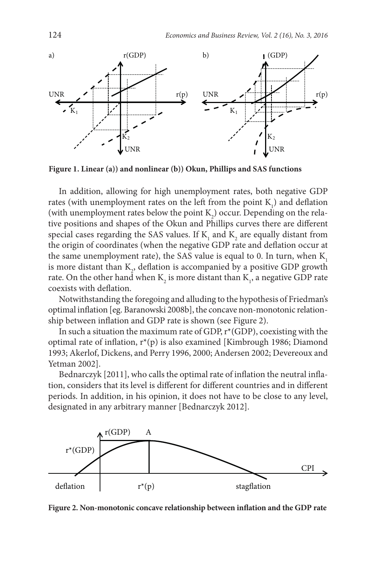

**Figure 1. Linear (a)) and nonlinear (b)) Okun, Phillips and SAS functions**

In addition, allowing for high unemployment rates, both negative GDP rates (with unemployment rates on the left from the point  $K_1$ ) and deflation (with unemployment rates below the point  $K_2$ ) occur. Depending on the relative positions and shapes of the Okun and Phillips curves there are different special cases regarding the SAS values. If  $K_{1}$  and  $K_{2}$  are equally distant from the origin of coordinates (when the negative GDP rate and deflation occur at the same unemployment rate), the SAS value is equal to 0. In turn, when  $K<sub>1</sub>$ is more distant than  $K_2$ , deflation is accompanied by a positive GDP growth rate. On the other hand when  $K_2$  is more distant than  $K_1$ , a negative GDP rate coexists with deflation.

Notwithstanding the foregoing and alluding to the hypothesis of Friedman's optimal inflation [eg. Baranowski 2008b], the concave non-monotonic relationship between inflation and GDP rate is shown (see Figure 2).

In such a situation the maximum rate of GDP,  $r^*(GDP)$ , coexisting with the optimal rate of inflation,  $r^*(p)$  is also examined [Kimbrough 1986; Diamond 1993; Akerlof, Dickens, and Perry 1996, 2000; Andersen 2002; Devereoux and Yetman 2002].

Bednarczyk [2011], who calls the optimal rate of inflation the neutral inflation, considers that its level is different for different countries and in different periods. In addition, in his opinion, it does not have to be close to any level, designated in any arbitrary manner [Bednarczyk 2012].



**Figure 2. Non-monotonic concave relationship between inflation and the GDP rate**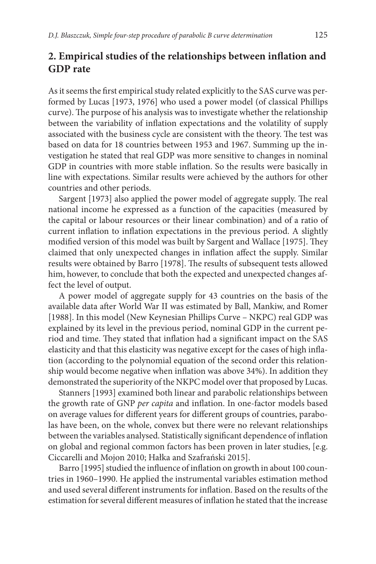## **2. Empirical studies of the relationships between inflation and GDP rate**

As it seems the first empirical study related explicitly to the SAS curve was performed by Lucas [1973, 1976] who used a power model (of classical Phillips curve). The purpose of his analysis was to investigate whether the relationship between the variability of inflation expectations and the volatility of supply associated with the business cycle are consistent with the theory. The test was based on data for 18 countries between 1953 and 1967. Summing up the investigation he stated that real GDP was more sensitive to changes in nominal GDP in countries with more stable inflation. So the results were basically in line with expectations. Similar results were achieved by the authors for other countries and other periods.

Sargent [1973] also applied the power model of aggregate supply. The real national income he expressed as a function of the capacities (measured by the capital or labour resources or their linear combination) and of a ratio of current inflation to inflation expectations in the previous period. A slightly modified version of this model was built by Sargent and Wallace [1975]. They claimed that only unexpected changes in inflation affect the supply. Similar results were obtained by Barro [1978]. The results of subsequent tests allowed him, however, to conclude that both the expected and unexpected changes affect the level of output.

A power model of aggregate supply for 43 countries on the basis of the available data after World War II was estimated by Ball, Mankiw, and Romer [1988]. In this model (New Keynesian Phillips Curve – NKPC) real GDP was explained by its level in the previous period, nominal GDP in the current period and time. They stated that inflation had a significant impact on the SAS elasticity and that this elasticity was negative except for the cases of high inflation (according to the polynomial equation of the second order this relationship would become negative when inflation was above 34%). In addition they demonstrated the superiority of the NKPC model over that proposed by Lucas.

Stanners [1993] examined both linear and parabolic relationships between the growth rate of GNP *per capita* and inflation. In one-factor models based on average values for different years for different groups of countries, parabolas have been, on the whole, convex but there were no relevant relationships between the variables analysed. Statistically significant dependence of inflation on global and regional common factors has been proven in later studies, [e.g. Ciccarelli and Mojon 2010; Hałka and Szafrański 2015].

Barro [1995] studied the influence of inflation on growth in about 100 countries in 1960–1990. He applied the instrumental variables estimation method and used several different instruments for inflation. Based on the results of the estimation for several different measures of inflation he stated that the increase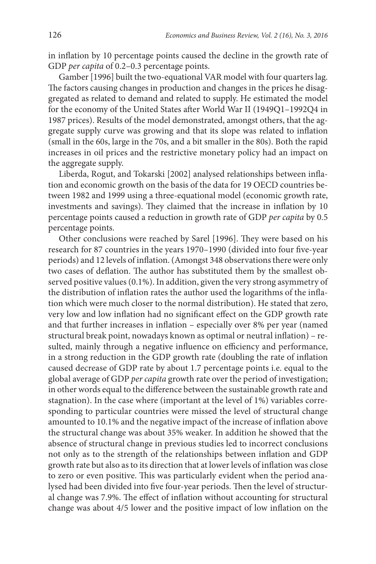in inflation by 10 percentage points caused the decline in the growth rate of GDP *per capita* of 0.2–0.3 percentage points.

Gamber [1996] built the two-equational VAR model with four quarters lag. The factors causing changes in production and changes in the prices he disaggregated as related to demand and related to supply. He estimated the model for the economy of the United States after World War II (1949Q1–1992Q4 in 1987 prices). Results of the model demonstrated, amongst others, that the aggregate supply curve was growing and that its slope was related to inflation (small in the 60s, large in the 70s, and a bit smaller in the 80s). Both the rapid increases in oil prices and the restrictive monetary policy had an impact on the aggregate supply.

Liberda, Rogut, and Tokarski [2002] analysed relationships between inflation and economic growth on the basis of the data for 19 OECD countries between 1982 and 1999 using a three-equational model (economic growth rate, investments and savings). They claimed that the increase in inflation by 10 percentage points caused a reduction in growth rate of GDP *per capita* by 0.5 percentage points.

Other conclusions were reached by Sarel [1996]. They were based on his research for 87 countries in the years 1970–1990 (divided into four five-year periods) and 12 levels of inflation. (Amongst 348 observations there were only two cases of deflation. The author has substituted them by the smallest observed positive values (0.1%). In addition, given the very strong asymmetry of the distribution of inflation rates the author used the logarithms of the inflation which were much closer to the normal distribution). He stated that zero, very low and low inflation had no significant effect on the GDP growth rate and that further increases in inflation – especially over 8% per year (named structural break point, nowadays known as optimal or neutral inflation) – resulted, mainly through a negative influence on efficiency and performance, in a strong reduction in the GDP growth rate (doubling the rate of inflation caused decrease of GDP rate by about 1.7 percentage points i.e. equal to the global average of GDP *per capita* growth rate over the period of investigation; in other words equal to the difference between the sustainable growth rate and stagnation). In the case where (important at the level of 1%) variables corresponding to particular countries were missed the level of structural change amounted to 10.1% and the negative impact of the increase of inflation above the structural change was about 35% weaker. In addition he showed that the absence of structural change in previous studies led to incorrect conclusions not only as to the strength of the relationships between inflation and GDP growth rate but also as to its direction that at lower levels of inflation was close to zero or even positive. This was particularly evident when the period analysed had been divided into five four-year periods. Then the level of structural change was 7.9%. The effect of inflation without accounting for structural change was about 4/5 lower and the positive impact of low inflation on the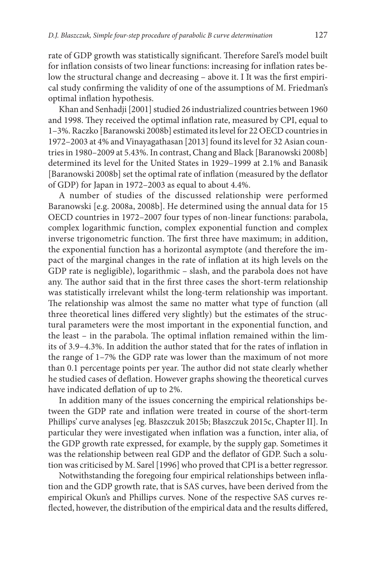rate of GDP growth was statistically significant. Therefore Sarel's model built for inflation consists of two linear functions: increasing for inflation rates below the structural change and decreasing – above it. I It was the first empirical study confirming the validity of one of the assumptions of M. Friedman's optimal inflation hypothesis.

Khan and Senhadji [2001] studied 26 industrialized countries between 1960 and 1998. They received the optimal inflation rate, measured by CPI, equal to 1–3%. Raczko [Baranowski 2008b] estimated its level for 22 OECD countries in 1972–2003 at 4% and Vinayagathasan [2013] found its level for 32 Asian countries in 1980–2009 at 5.43%. In contrast, Chang and Black [Baranowski 2008b] determined its level for the United States in 1929–1999 at 2.1% and Banasik [Baranowski 2008b] set the optimal rate of inflation (measured by the deflator of GDP) for Japan in 1972–2003 as equal to about 4.4%.

A number of studies of the discussed relationship were performed Baranowski [e.g. 2008a, 2008b]. He determined using the annual data for 15 OECD countries in 1972–2007 four types of non-linear functions: parabola, complex logarithmic function, complex exponential function and complex inverse trigonometric function. The first three have maximum; in addition, the exponential function has a horizontal asymptote (and therefore the impact of the marginal changes in the rate of inflation at its high levels on the GDP rate is negligible), logarithmic – slash, and the parabola does not have any. The author said that in the first three cases the short-term relationship was statistically irrelevant whilst the long-term relationship was important. The relationship was almost the same no matter what type of function (all three theoretical lines differed very slightly) but the estimates of the structural parameters were the most important in the exponential function, and the least – in the parabola. The optimal inflation remained within the limits of 3.9–4.3%. In addition the author stated that for the rates of inflation in the range of 1–7% the GDP rate was lower than the maximum of not more than 0.1 percentage points per year. The author did not state clearly whether he studied cases of deflation. However graphs showing the theoretical curves have indicated deflation of up to 2%.

In addition many of the issues concerning the empirical relationships between the GDP rate and inflation were treated in course of the short-term Phillips' curve analyses [eg. Błaszczuk 2015b; Błaszczuk 2015c, Chapter II]. In particular they were investigated when inflation was a function, inter alia, of the GDP growth rate expressed, for example, by the supply gap. Sometimes it was the relationship between real GDP and the deflator of GDP. Such a solution was criticised by M. Sarel [1996] who proved that CPI is a better regressor.

Notwithstanding the foregoing four empirical relationships between inflation and the GDP growth rate, that is SAS curves, have been derived from the empirical Okun's and Phillips curves. None of the respective SAS curves reflected, however, the distribution of the empirical data and the results differed,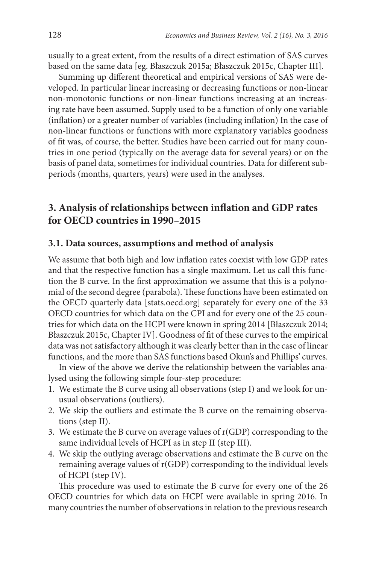usually to a great extent, from the results of a direct estimation of SAS curves based on the same data [eg. Błaszczuk 2015a; Błaszczuk 2015c, Chapter III].

Summing up different theoretical and empirical versions of SAS were developed. In particular linear increasing or decreasing functions or non-linear non-monotonic functions or non-linear functions increasing at an increasing rate have been assumed. Supply used to be a function of only one variable (inflation) or a greater number of variables (including inflation) In the case of non-linear functions or functions with more explanatory variables goodness of fit was, of course, the better. Studies have been carried out for many countries in one period (typically on the average data for several years) or on the basis of panel data, sometimes for individual countries. Data for different subperiods (months, quarters, years) were used in the analyses.

## **3. Analysis of relationships between inflation and GDP rates for OECD countries in 1990–2015**

#### **3.1. Data sources, assumptions and method of analysis**

We assume that both high and low inflation rates coexist with low GDP rates and that the respective function has a single maximum. Let us call this function the B curve. In the first approximation we assume that this is a polynomial of the second degree (parabola). These functions have been estimated on the OECD quarterly data [stats.oecd.org] separately for every one of the 33 OECD countries for which data on the CPI and for every one of the 25 countries for which data on the HCPI were known in spring 2014 [Błaszczuk 2014; Błaszczuk 2015c, Chapter IV]. Goodness of fit of these curves to the empirical data was not satisfactory although it was clearly better than in the case of linear functions, and the more than SAS functions based Okun's and Phillips' curves.

In view of the above we derive the relationship between the variables analysed using the following simple four-step procedure:

- 1. We estimate the B curve using all observations (step I) and we look for unusual observations (outliers).
- 2. We skip the outliers and estimate the B curve on the remaining observations (step II).
- 3. We estimate the B curve on average values of r(GDP) corresponding to the same individual levels of HCPI as in step II (step III).
- 4. We skip the outlying average observations and estimate the B curve on the remaining average values of r(GDP) corresponding to the individual levels of HCPI (step IV).

This procedure was used to estimate the B curve for every one of the 26 OECD countries for which data on HCPI were available in spring 2016. In many countries the number of observations in relation to the previous research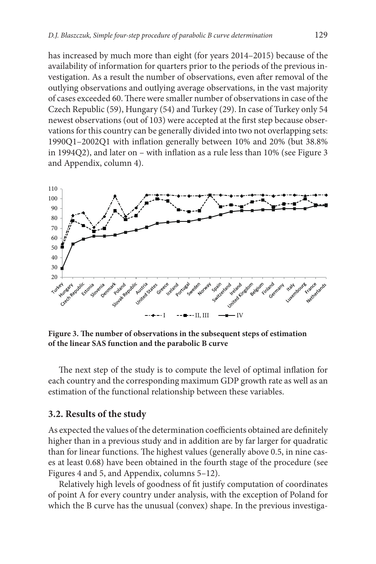has increased by much more than eight (for years 2014–2015) because of the availability of information for quarters prior to the periods of the previous investigation. As a result the number of observations, even after removal of the outlying observations and outlying average observations, in the vast majority of cases exceeded 60. There were smaller number of observations in case of the Czech Republic (59), Hungary (54) and Turkey (29). In case of Turkey only 54 newest observations (out of 103) were accepted at the first step because observations for this country can be generally divided into two not overlapping sets: 1990Q1–2002Q1 with inflation generally between 10% and 20% (but 38.8% in 1994Q2), and later on – with inflation as a rule less than 10% (see Figure 3 and Appendix, column 4).



**Figure 3. The number of observations in the subsequent steps of estimation of the linear SAS function and the parabolic B curve**

The next step of the study is to compute the level of optimal inflation for each country and the corresponding maximum GDP growth rate as well as an estimation of the functional relationship between these variables.

#### **3.2. Results of the study**

As expected the values of the determination coefficients obtained are definitely higher than in a previous study and in addition are by far larger for quadratic than for linear functions. The highest values (generally above 0.5, in nine cases at least 0.68) have been obtained in the fourth stage of the procedure (see Figures 4 and 5, and Appendix, columns 5–12).

Relatively high levels of goodness of fit justify computation of coordinates of point A for every country under analysis, with the exception of Poland for which the B curve has the unusual (convex) shape. In the previous investiga-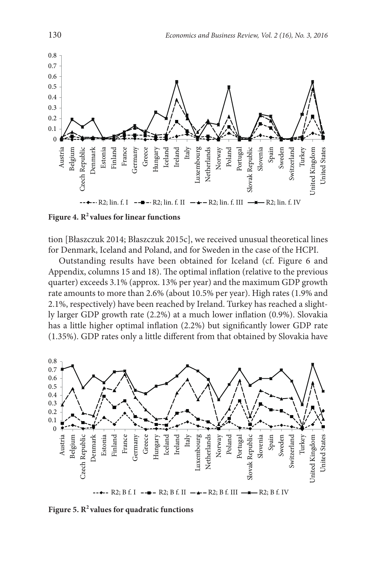

Figure 4. R<sup>2</sup> values for linear functions

tion [Błaszczuk 2014; Błaszczuk 2015c], we received unusual theoretical lines for Denmark, Iceland and Poland, and for Sweden in the case of the HCPI.

Outstanding results have been obtained for Iceland (cf. Figure 6 and Appendix, columns 15 and 18). The optimal inflation (relative to the previous quarter) exceeds 3.1% (approx. 13% per year) and the maximum GDP growth rate amounts to more than 2.6% (about 10.5% per year). High rates (1.9% and 2.1%, respectively) have been reached by Ireland. Turkey has reached a slightly larger GDP growth rate (2.2%) at a much lower inflation (0.9%). Slovakia has a little higher optimal inflation (2.2%) but significantly lower GDP rate (1.35%). GDP rates only a little different from that obtained by Slovakia have



Figure 5. R<sup>2</sup> values for quadratic functions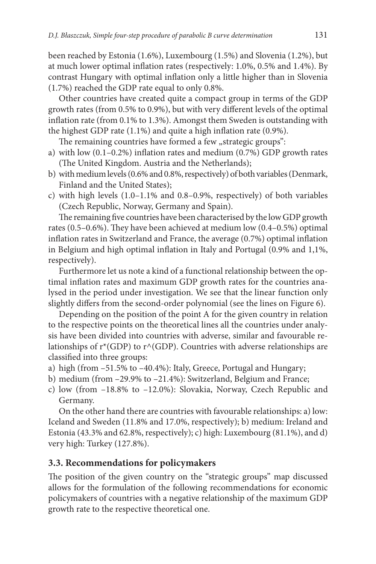been reached by Estonia (1.6%), Luxembourg (1.5%) and Slovenia (1.2%), but at much lower optimal inflation rates (respectively: 1.0%, 0.5% and 1.4%). By contrast Hungary with optimal inflation only a little higher than in Slovenia (1.7%) reached the GDP rate equal to only 0.8%.

Other countries have created quite a compact group in terms of the GDP growth rates (from 0.5% to 0.9%), but with very different levels of the optimal inflation rate (from 0.1% to 1.3%). Amongst them Sweden is outstanding with the highest GDP rate (1.1%) and quite a high inflation rate (0.9%).

The remaining countries have formed a few "strategic groups":

- a) with low (0.1–0.2%) inflation rates and medium (0.7%) GDP growth rates (The United Kingdom. Austria and the Netherlands);
- b) with medium levels (0.6% and 0.8%, respectively) of both variables (Denmark, Finland and the United States);
- c) with high levels (1.0–1.1% and 0.8–0.9%, respectively) of both variables (Czech Republic, Norway, Germany and Spain).

The remaining five countries have been characterised by the low GDP growth rates (0.5–0.6%). They have been achieved at medium low (0.4–0.5%) optimal inflation rates in Switzerland and France, the average (0.7%) optimal inflation in Belgium and high optimal inflation in Italy and Portugal (0.9% and 1,1%, respectively).

Furthermore let us note a kind of a functional relationship between the optimal inflation rates and maximum GDP growth rates for the countries analysed in the period under investigation. We see that the linear function only slightly differs from the second-order polynomial (see the lines on Figure 6).

Depending on the position of the point A for the given country in relation to the respective points on the theoretical lines all the countries under analysis have been divided into countries with adverse, similar and favourable relationships of  $r^*(GDP)$  to  $r^*(GDP)$ . Countries with adverse relationships are classified into three groups:

- a) high (from –51.5% to –40.4%): Italy, Greece, Portugal and Hungary;
- b) medium (from –29.9% to –21.4%): Switzerland, Belgium and France;
- c) low (from –18.8% to –12.0%): Slovakia, Norway, Czech Republic and Germany.

On the other hand there are countries with favourable relationships: a) low: Iceland and Sweden (11.8% and 17.0%, respectively); b) medium: Ireland and Estonia (43.3% and 62.8%, respectively); c) high: Luxembourg (81.1%), and d) very high: Turkey (127.8%).

### **3.3. Recommendations for policymakers**

The position of the given country on the "strategic groups" map discussed allows for the formulation of the following recommendations for economic policymakers of countries with a negative relationship of the maximum GDP growth rate to the respective theoretical one.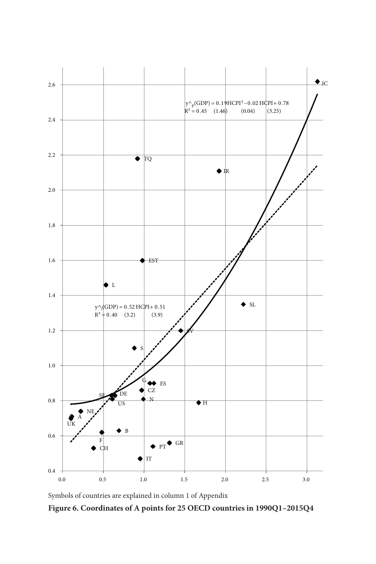

Symbols of countries are explained in column 1 of Appendix

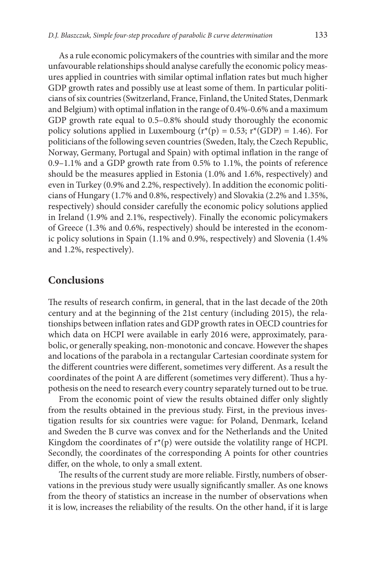As a rule economic policymakers of the countries with similar and the more unfavourable relationships should analyse carefully the economic policy measures applied in countries with similar optimal inflation rates but much higher GDP growth rates and possibly use at least some of them. In particular politicians of six countries (Switzerland, France, Finland, the United States, Denmark and Belgium) with optimal inflation in the range of 0.4%-0.6% and a maximum GDP growth rate equal to 0.5–0.8% should study thoroughly the economic policy solutions applied in Luxembourg ( $r^{*}(p) = 0.53$ ;  $r^{*}(GDP) = 1.46$ ). For politicians of the following seven countries (Sweden, Italy, the Czech Republic, Norway, Germany, Portugal and Spain) with optimal inflation in the range of 0.9–1.1% and a GDP growth rate from 0.5% to 1.1%, the points of reference should be the measures applied in Estonia (1.0% and 1.6%, respectively) and even in Turkey (0.9% and 2.2%, respectively). In addition the economic politicians of Hungary (1.7% and 0.8%, respectively) and Slovakia (2.2% and 1.35%, respectively) should consider carefully the economic policy solutions applied in Ireland (1.9% and 2.1%, respectively). Finally the economic policymakers of Greece (1.3% and 0.6%, respectively) should be interested in the economic policy solutions in Spain (1.1% and 0.9%, respectively) and Slovenia (1.4% and 1.2%, respectively).

### **Conclusions**

The results of research confirm, in general, that in the last decade of the 20th century and at the beginning of the 21st century (including 2015), the relationships between inflation rates and GDP growth rates in OECD countries for which data on HCPI were available in early 2016 were, approximately, parabolic, or generally speaking, non-monotonic and concave. However the shapes and locations of the parabola in a rectangular Cartesian coordinate system for the different countries were different, sometimes very different. As a result the coordinates of the point A are different (sometimes very different). Thus a hypothesis on the need to research every country separately turned out to be true.

From the economic point of view the results obtained differ only slightly from the results obtained in the previous study. First, in the previous investigation results for six countries were vague: for Poland, Denmark, Iceland and Sweden the B curve was convex and for the Netherlands and the United Kingdom the coordinates of  $r^*(p)$  were outside the volatility range of HCPI. Secondly, the coordinates of the corresponding A points for other countries differ, on the whole, to only a small extent.

The results of the current study are more reliable. Firstly, numbers of observations in the previous study were usually significantly smaller. As one knows from the theory of statistics an increase in the number of observations when it is low, increases the reliability of the results. On the other hand, if it is large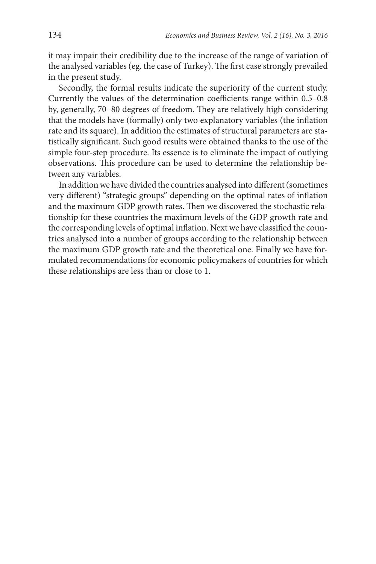it may impair their credibility due to the increase of the range of variation of the analysed variables (eg. the case of Turkey). The first case strongly prevailed in the present study.

Secondly, the formal results indicate the superiority of the current study. Currently the values of the determination coefficients range within 0.5–0.8 by, generally, 70–80 degrees of freedom. They are relatively high considering that the models have (formally) only two explanatory variables (the inflation rate and its square). In addition the estimates of structural parameters are statistically significant. Such good results were obtained thanks to the use of the simple four-step procedure. Its essence is to eliminate the impact of outlying observations. This procedure can be used to determine the relationship between any variables.

In addition we have divided the countries analysed into different (sometimes very different) "strategic groups" depending on the optimal rates of inflation and the maximum GDP growth rates. Then we discovered the stochastic relationship for these countries the maximum levels of the GDP growth rate and the corresponding levels of optimal inflation. Next we have classified the countries analysed into a number of groups according to the relationship between the maximum GDP growth rate and the theoretical one. Finally we have formulated recommendations for economic policymakers of countries for which these relationships are less than or close to 1.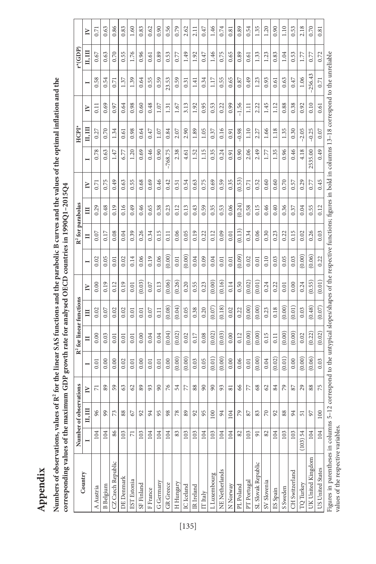Numbers of observations, values of R<sup>2</sup> for the linear SAS functions and the parabolic B curves and the values of the optimal inflation and the **Numbers of observations, values of R2 for the linear SAS functions and the parabolic B curves and the values of the optimal inflation and the**  corresponding values of the maximum GDP growth rate for analysed OECD countries in 1990Q1-2015Q4 **corresponding values of the maximum GDP growth rate for analysed OECD countries in 1990Q1–2015Q4**

|                                                                                                                                                                                                                    |                          | Number of observation | S,              |        |        | R <sup>2</sup> for linear functions |        |        | $R2$ for parabolas |        |        |           | <b>HCPI</b> |         |           | $*(GDP)$ |        |
|--------------------------------------------------------------------------------------------------------------------------------------------------------------------------------------------------------------------|--------------------------|-----------------------|-----------------|--------|--------|-------------------------------------|--------|--------|--------------------|--------|--------|-----------|-------------|---------|-----------|----------|--------|
| Country                                                                                                                                                                                                            |                          | ц, ш                  | R               | -      | Ξ      | Ξ                                   | $\geq$ |        | Ξ                  | Ë      | $\geq$ |           | п, ш        | $\geq$  |           | ц, ш     | $\geq$ |
| A Austria                                                                                                                                                                                                          | 104                      | 96                    | Ë               | 0.01   | 0.00   | 0.02                                | 0.00   | 0.02   | 0.07               | 0.29   | 0.71   | 0.78      | 0.27        | 0.11    | 0.58      | 0.67     | 0.71   |
| <b>B</b> Belgium                                                                                                                                                                                                   | 104                      | 99                    | 89              | 0.00   | 0.03   | 0.07                                | 0.19   | 0.05   | 0.17               | 0.48   | 0.75   | 0.63      | 0.70        | 0.69    | 0.54      | 0.63     | 0.63   |
| CZ Czech Republic                                                                                                                                                                                                  | 86                       | 73                    | 59              | 0.00   | 0.01   | 0.02                                | 0.12   | 0.01   | 0.08               | 0.19   | 0.49   | 1.47      | 1.34        | 0.97    | 0.71      | 0.70     | 0.86   |
| DE Denmark                                                                                                                                                                                                         | 103                      | 88                    | $63\,$          | 0.02   | 0.01   | 0.02                                | 0.19   | 0.02   | 0.04               | 0.16   | 0.63   | 6.77      | 0.61        | 0.64    | 1.37      | 0.55     | 0.83   |
| <b>EST</b> Estonia                                                                                                                                                                                                 | $\overline{\phantom{0}}$ | 67                    | $62\,$          | 0.01   | 0.01   | 0.01                                | 0.01   | 0.14   | 0.39               | 0.49   | 0.55   | 1.20      | 0.98        | 0.98    | 1.39      | 1.76     | 1.60   |
| SF Finland                                                                                                                                                                                                         | 103                      | 92                    | 89              | 0.00   | 0.00   | 0.01                                | (0.03) | 0.06   | 0.26               | 0.46   | 0.68   | 0.69      | 0.64        | 0.60    | 0.64      | 0.96     | 0.83   |
| F France                                                                                                                                                                                                           | 104                      | 24                    | 93              | 0.01   | 0.04   | 0.07                                | 0.07   | 0.19   | 0.34               | 0.65   | 0.69   | 0.46      | 0.47        | 0.48    | 0.55      | 0.61     | 0.62   |
| G Germany                                                                                                                                                                                                          | 104                      | 95                    | $\infty$        | 0.01   | 0.04   | 0.11                                | 0.13   | 0.06   | 0.15               | 0.38   | 0.46   | 0.90      | 1.07        | 1.07    | 0.59      | 0.89     | 0.90   |
| GR Greece                                                                                                                                                                                                          | 104                      | 98                    | $\sqrt{6}$      | 0.00   | (0.04) | (0.08)                              | (0.06) | (0.00) | 0.11               | 0.23   | 0.42   | $-768.75$ | 0.84        | 1.31    | 23.53     | 0.53     | 0.56   |
| H Hungary                                                                                                                                                                                                          | 83                       | $78$                  | 54              | (0.00) | (0.02) | (0.04)                              | (0.26) | 0.01   | 0.06               | 0.12   | 0.51   | 2.38      | 2.07        | 1.67    | 0.59      | 0.77     | 0.79   |
| IC Iceland                                                                                                                                                                                                         | 103                      | 89                    | 77              | (0.00) | 0.02   | 0.05                                | 0.20   | (0.00) | 0.05               | 0.13   | 0.54   | 4.61      | 2.90        | 3.13    | 0.31      | 1.49     | 2.62   |
| IR Ireland                                                                                                                                                                                                         | 103                      | 92                    | 88              | 0.03   | 0.17   | 0.38                                | 0.55   | 0.04   | 0.19               | 0.43   | 0.63   | 1.52      | 1.89        | 1.92    | 1.41      | 1.92     | 2.11   |
| IT Italy                                                                                                                                                                                                           | 104                      | 95                    | $90\,$          | 0.05   | 0.08   | 0.20                                | 0.23   | 0.09   | 0.22               | 0.59   | 0.75   | 1.15      | 1.05        | 0.95    | 0.34      | 0.47     | 0.47   |
| L Luxembourg                                                                                                                                                                                                       | 103                      | $100\,$               | $\infty$        | (0.01) | (0.02) | (0.07)                              | (0.00) | 0.04   | 0.12               | 0.35   | 0.69   | 0.35      | 0.37        | 0.53    | 117       | 1.46     | 1.46   |
| NE Netherlands                                                                                                                                                                                                     | 104                      | 94                    | 93              | (0.00) | (0.03) | (0.18)                              | (0.16) | 0.01   | 0.09               | 0.53   | 0.59   | 0.24      | 0.16        | 0.22    | 0.55      | 0.75     | 0.74   |
| N Norway                                                                                                                                                                                                           | 104                      | 104                   | $\infty$        | 0.00   | 0.00   | 0.02                                | 0.14   | 0.01   | 0.01               | 0.06   | 0.35   | 0.91      | 0.91        | 0.99    | 0.65      | 0.65     | 0.81   |
| PL Poland                                                                                                                                                                                                          | 82                       | $\mathcal{P}$         | $66$            | 0.06   | 0.12   | 0.22                                | 0.50   | (0.09) | (0.13)             | (0.24) | (0.53) | 0.90      | $-0.98$     | $-1.56$ | 0.87      | 0.89     | 0.89   |
| PT Portugal                                                                                                                                                                                                        | 103                      | 87                    | 77              | 0.01   | (0.00) | (0.00)                              | (0.02) | 0.02   | 0.34               | 0.58   | 0.71   | 2.06      | 1.10        | $\Xi$   | 0.49      | 0.61     | 0.54   |
| SL Slovak Republic                                                                                                                                                                                                 | $\overline{5}$           | 83                    | $\mathcal{S}^8$ | (0.00) | (0.00) | (0.00)                              | (0.01) | 0.01   | 0.06               | 0.15   | 0.52   | 2.49      | 2.27        | 2.22    | 1.23      | 1.33     | 1.35   |
| SV Slovenia                                                                                                                                                                                                        | 82                       | $\approx$             | $\mathcal{O}$   | 0.04   | 0.15   | 0.23                                | 0.24   | 0.10   | 0.30               | 0.46   | 0.60   | 1.77      | 1.66        | 1.45    | 0.93      | 1.23     | 1.20   |
| ES Spain                                                                                                                                                                                                           | 104                      | 92                    | 84              | (0.02) | 0.11   | 0.18                                | 0.22   | 0.03   | 0.23               | 0.40   | 0.60   | 1.35      | 1.18        | 1.12    | 0.61      | 0.83     | 0.90   |
| S Sweden                                                                                                                                                                                                           | 103                      | 88                    | 79              | (0.01) | (0.00) | (0.00)                              | 0.01   | 0.05   | 0.22               | 0.36   | 0.70   | 0.96      | 1.35        | 0.88    | 0.63      | 1.04     | 1.10   |
| CH Switzerland                                                                                                                                                                                                     | 103                      | 34                    | 87              | 0.00   | (0.00) | (0.01)                              | 0.00   | 0.03   | 0.15               | 0.37   | 0.57   | 0.46      | 0.30        | 0.38    | 0.47      | 0.53     | 0.53   |
| TQ Turkey                                                                                                                                                                                                          | $(103)$ 54               | 55                    | 29              | (0.00) | 0.02   | 0.03                                | 0.24   | (0.00) | 0.02               | 0.04   | 0.29   | 4.18      | $-2.05$     | 0.92    | 1.06      | 1.77     | 2.18   |
| UK United Kingdom                                                                                                                                                                                                  | 104                      | 92                    | $88\,$          | (0.06) | (0.22) | (0.48)                              | (0.55) | (0.06) | 0.26               | 0.55   | 0.77   | 2535.00   | $-0.25$     | 0.10    | $-256.43$ | 0.77     | 0.70   |
| US United States                                                                                                                                                                                                   | 104                      | $100\,$               | 75              | 0.03   | (0.02) | (0.07)                              | (0.01) | 0.22   | 0.03               | 0.12   | 0.45   | 0.49      | 0.07        | 0.61    | 0.71      | 0.72     | 0.81   |
| Figures in parentheses in columns 5-12 correspond to the untypical slopes/shapes of the respective functions; figures in bold in columns 13-18 correspond to the unreliable<br>values of the respective variables. |                          |                       |                 |        |        |                                     |        |        |                    |        |        |           |             |         |           |          |        |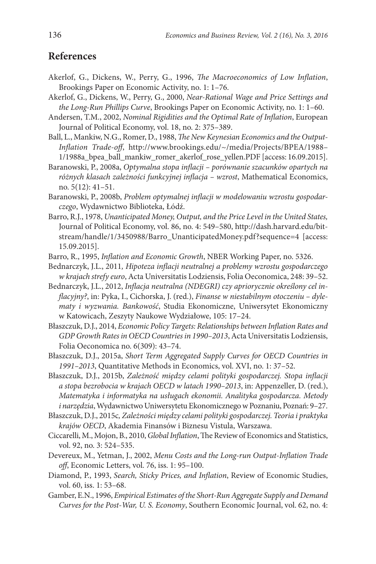### **References**

- Akerlof, G., Dickens, W., Perry, G., 1996, *The Macroeconomics of Low Inflation*, Brookings Paper on Economic Activity, no. 1: 1–76.
- Akerlof, G., Dickens, W., Perry, G., 2000, *Near-Rational Wage and Price Settings and the Long-Run Phillips Curve*, Brookings Paper on Economic Activity, no. 1: 1–60.
- Andersen, T.M., 2002, *Nominal Rigidities and the Optimal Rate of Inflation*, European Journal of Political Economy, vol. 18, no. 2: 375–389.
- Ball, L., Mankiw, N.G., Romer, D., 1988, *The New Keynesian Economics and the Output-Inflation Trade-off*, [http://www.brookings.edu/~/media/Projects/BPEA/1988–](http://www.brookings.edu/~/media/Projects/BPEA/1988-1/1988a_bpea_ball_mankiw_romer_akerlof_rose_yellen.PDF) [1/1988a\\_bpea\\_ball\\_mankiw\\_romer\\_akerlof\\_rose\\_yellen.PDF](http://www.brookings.edu/~/media/Projects/BPEA/1988-1/1988a_bpea_ball_mankiw_romer_akerlof_rose_yellen.PDF) [access: 16.09.2015].
- Baranowski, P., 2008a, *Optymalna stopa inflacji porównanie szacunków opartych na różnych klasach zależności funkcyjnej inflacja – wzrost*, Mathematical Economics, no. 5(12): 41–51.
- Baranowski, P., 2008b, *Problem optymalnej inflacji w modelowaniu wzrostu gospodarczego*, Wydawnictwo Biblioteka, Łódź.
- Barro, R.J., 1978, *Unanticipated Money, Output, and the Price Level in the United States,* Journal of Political Economy, vol. 86, no. 4: 549–580, [http://dash.harvard.edu/bit](http://dash.harvard.edu/bitstream/handle/1/3450988/Barro_UnanticipatedMoney.pdf?sequence=4)[stream/handle/1/3450988/Barro\\_UnanticipatedMoney.pdf?sequence=4](http://dash.harvard.edu/bitstream/handle/1/3450988/Barro_UnanticipatedMoney.pdf?sequence=4) [access: 15.09.2015].
- Barro, R., 1995, *Inflation and Economic Growth*, NBER Working Paper, no. 5326.
- Bednarczyk, J.L., 2011*, Hipoteza inflacji neutralnej a problemy wzrostu gospodarczego w krajach strefy euro*, Acta Universitatis Lodziensis, Folia Oeconomica, 248: 39–52.
- Bednarczyk, J.L., 2012, *Inflacja neutralna (NDEGRI) czy apriorycznie określony cel inflacyjny?*, in: Pyka, I., Cichorska, J. (red.), *Finanse w niestabilnym otoczeniu – dylematy i wyzwania. Bankowość*, Studia Ekonomiczne, Uniwersytet Ekonomiczny w Katowicach, Zeszyty Naukowe Wydziałowe, 105: 17–24.
- Błaszczuk, D.J., 2014, *Economic Policy Targets: Relationships between Inflation Rates and GDP Growth Rates in OECD Countries in 1990–2013*, Acta Universitatis Lodziensis, Folia Oeconomica no. 6(309): 43–74.
- Błaszczuk, D.J., 2015a, *Short Term Aggregated Supply Curves for OECD Countries in 1991–2013*, Quantitative Methods in Economics, vol. XVI, no. 1: 37–52.
- Błaszczuk, D.J., 2015b, *Zależność między celami polityki gospodarczej. Stopa inflacji a stopa bezrobocia w krajach OECD w latach 1990–2013*, in: Appenzeller, D. (red.), *Matematyka i informatyka na usługach ekonomii. Analityka gospodarcza. Metody i narzędzia*, Wydawnictwo Uniwersytetu Ekonomicznego w Poznaniu, Poznań: 9–27.
- Błaszczuk, D.J., 2015c*, Zależności między celami polityki gospodarczej. Teoria i praktyka krajów OECD*, Akademia Finansów i Biznesu Vistula, Warszawa.
- Ciccarelli, M., Mojon, B., 2010, *Global Inflation*, The Review of Economics and Statistics, vol. 92, no. 3: 524–535.
- Devereux, M., Yetman, J., 2002, *Menu Costs and the Long-run Output-Inflation Trade off*, Economic Letters, vol. 76, iss. 1: 95–100.
- Diamond, P., 1993, *Search, Sticky Prices, and Inflation*, Review of Economic Studies, vol. 60, iss. 1: 53–68.
- Gamber, E.N., 1996, *Empirical Estimates of the Short-Run Aggregate Supply and Demand Curves for the Post-War, U. S. Economy*, Southern Economic Journal, vol. 62, no. 4: